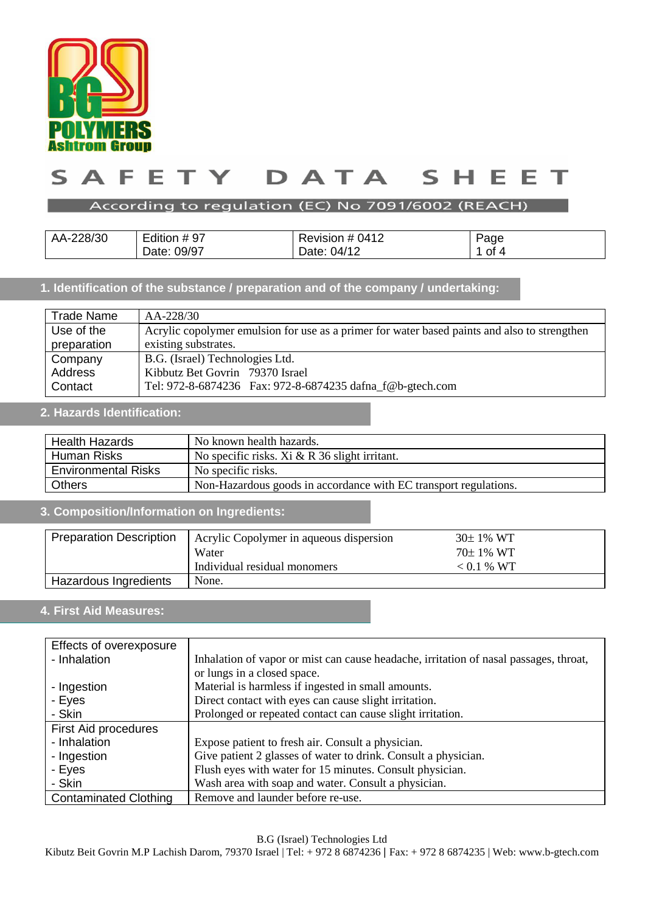

#### $\blacktriangle$ TY T DATA  $\mathsf{s}$ E E.  $\mathsf{S}$ н. Е E т

## According to regulation (EC) No 7091/6002 (REACH)

| AA-228/30 | Edition #97 | Revision # 0412 | Page    |
|-----------|-------------|-----------------|---------|
|           | Date: 09/97 | Date: 04/12     | οt<br>Ð |

## **1. Identification of the substance / preparation and of the company / undertaking:**

| <b>Trade Name</b> | AA-228/30                                                                                    |  |  |
|-------------------|----------------------------------------------------------------------------------------------|--|--|
| Use of the        | Acrylic copolymer emulsion for use as a primer for water based paints and also to strengthen |  |  |
| preparation       | existing substrates.                                                                         |  |  |
| Company           | B.G. (Israel) Technologies Ltd.                                                              |  |  |
| Address           | Kibbutz Bet Govrin 79370 Israel                                                              |  |  |
| Contact           | Tel: 972-8-6874236  Fax: 972-8-6874235 dafna_f@b-gtech.com                                   |  |  |

## **2. Hazards Identification:**

| <b>Health Hazards</b>      | No known health hazards.                                         |  |
|----------------------------|------------------------------------------------------------------|--|
| Human Risks                | No specific risks. Xi $& R$ 36 slight irritant.                  |  |
| <b>Environmental Risks</b> | No specific risks.                                               |  |
| <b>Others</b>              | Non-Hazardous goods in accordance with EC transport regulations. |  |

# **3. Composition/Information on Ingredients:**

| <b>Preparation Description</b> | Acrylic Copolymer in aqueous dispersion | $30\pm1\%$ WT |
|--------------------------------|-----------------------------------------|---------------|
|                                | Water                                   | $70\pm1\%$ WT |
|                                | Individual residual monomers            | $< 0.1 %$ WT  |
| Hazardous Ingredients          | None.                                   |               |

# **4. First Aid Measures:**

| Effects of overexposure      |                                                                                       |
|------------------------------|---------------------------------------------------------------------------------------|
| - Inhalation                 | Inhalation of vapor or mist can cause headache, irritation of nasal passages, throat, |
|                              | or lungs in a closed space.                                                           |
| - Ingestion                  | Material is harmless if ingested in small amounts.                                    |
| - Eyes                       | Direct contact with eyes can cause slight irritation.                                 |
| - Skin                       | Prolonged or repeated contact can cause slight irritation.                            |
| First Aid procedures         |                                                                                       |
| - Inhalation                 | Expose patient to fresh air. Consult a physician.                                     |
| - Ingestion                  | Give patient 2 glasses of water to drink. Consult a physician.                        |
| - Eyes                       | Flush eyes with water for 15 minutes. Consult physician.                              |
| - Skin                       | Wash area with soap and water. Consult a physician.                                   |
| <b>Contaminated Clothing</b> | Remove and launder before re-use.                                                     |

B.G (Israel) Technologies Ltd

Kibutz Beit Govrin M.P Lachish Darom, 79370 Israel | Tel: + 972 8 6874236 | Fax: + 972 8 6874235 | Web: www.b-gtech.com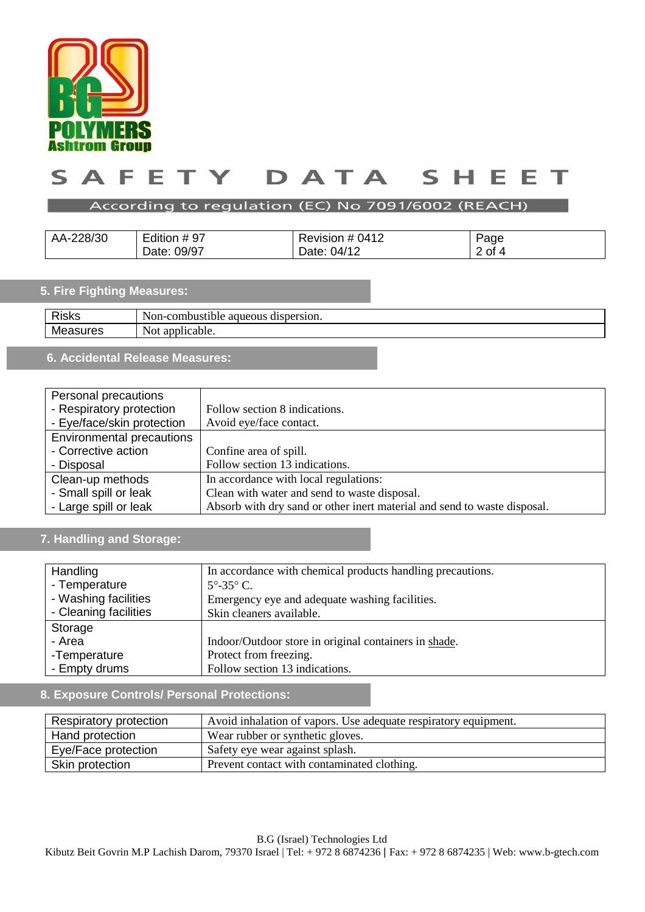

#### TY DATA  $\mathsf{s}$ A F E.  $\mathsf{S}$ н. Е E т

## According to regulation (EC) No 7091/6002 (REACH)

| AA-228/30 | Edition #97    | -<br>0412<br>Revision # | Page   |
|-----------|----------------|-------------------------|--------|
|           | 09/97<br>Date: | 04/12<br>Date:          | ∠ ot 4 |

## **5. Fire Fighting Measures:**

| <b>Risks</b> | Non-c<br>dispersion.<br>-combustible-<br>aqueous |
|--------------|--------------------------------------------------|
| Мc<br>162    | $\alpha$<br>plicable.<br>Not<br>αı               |
|              |                                                  |

# **6. Accidental Release Measures:**

| Personal precautions             |                                                                          |
|----------------------------------|--------------------------------------------------------------------------|
| - Respiratory protection         | Follow section 8 indications.                                            |
| - Eye/face/skin protection       | Avoid eye/face contact.                                                  |
| <b>Environmental precautions</b> |                                                                          |
| - Corrective action              | Confine area of spill.                                                   |
| - Disposal                       | Follow section 13 indications.                                           |
| Clean-up methods                 | In accordance with local regulations:                                    |
| - Small spill or leak            | Clean with water and send to waste disposal.                             |
| - Large spill or leak            | Absorb with dry sand or other inert material and send to waste disposal. |

## **7. Handling and Storage:**

| Handling              | In accordance with chemical products handling precautions. |
|-----------------------|------------------------------------------------------------|
| - Temperature         | $5^{\circ}$ -35 $^{\circ}$ C.                              |
| - Washing facilities  | Emergency eye and adequate washing facilities.             |
| - Cleaning facilities | Skin cleaners available.                                   |
| Storage               |                                                            |
| - Area                | Indoor/Outdoor store in original containers in shade.      |
| -Temperature          | Protect from freezing.                                     |
| - Empty drums         | Follow section 13 indications.                             |

## **8. Exposure Controls/ Personal Protections:**

| Respiratory protection | Avoid inhalation of vapors. Use adequate respiratory equipment. |
|------------------------|-----------------------------------------------------------------|
| Hand protection        | Wear rubber or synthetic gloves.                                |
| Eye/Face protection    | Safety eye wear against splash.                                 |
| Skin protection        | Prevent contact with contaminated clothing.                     |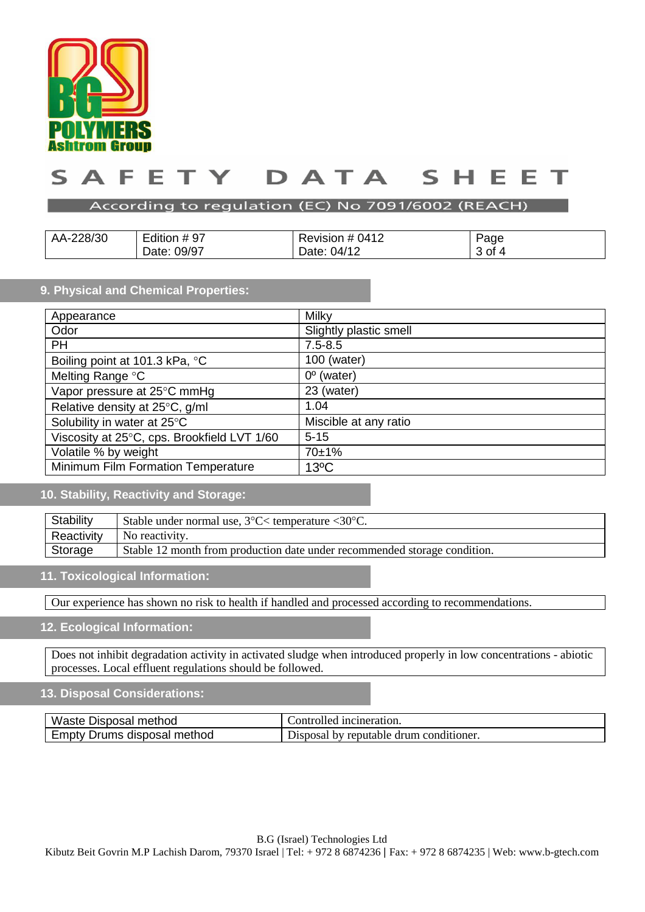

#### DATA E F TY. ς  $\blacktriangle$ ς E

#### According to regulation (EC) No 7091/6002 (REACH)

| AA-228/30 | Edition #97    | Revision # 0412 | Page |
|-----------|----------------|-----------------|------|
|           | 09/97<br>Date: | Date: 04/12     | 3 of |

#### **9. Physical and Chemical Properties:**

| Appearance                                  | Milky                  |
|---------------------------------------------|------------------------|
| Odor                                        | Slightly plastic smell |
| <b>PH</b>                                   | $7.5 - 8.5$            |
| Boiling point at 101.3 kPa, °C              | 100 (water)            |
| Melting Range °C                            | $0^{\circ}$ (water)    |
| Vapor pressure at 25°C mmHg                 | 23 (water)             |
| Relative density at 25°C, g/ml              | 1.04                   |
| Solubility in water at 25°C                 | Miscible at any ratio  |
| Viscosity at 25°C, cps. Brookfield LVT 1/60 | $5 - 15$               |
| Volatile % by weight                        | 70±1%                  |
| Minimum Film Formation Temperature          | $13^{\circ}$ C         |

## **10. Stability, Reactivity and Storage:**

| Stability  | Stable under normal use, $3^{\circ}$ C $<$ temperature $<$ 30 $^{\circ}$ C. |
|------------|-----------------------------------------------------------------------------|
| Reactivity | No reactivity.                                                              |
| Storage    | Stable 12 month from production date under recommended storage condition.   |

#### **11. Toxicological Information:**

Our experience has shown no risk to health if handled and processed according to recommendations.

#### **12. Ecological Information:**

Does not inhibit degradation activity in activated sludge when introduced properly in low concentrations - abiotic processes. Local effluent regulations should be followed.

#### **13. Disposal Considerations:**

| Waste Disposal method            | . incineration.<br>ontrolled            |
|----------------------------------|-----------------------------------------|
| Drums disposal method<br>Empty ' | Disposal by reputable drum conditioner. |